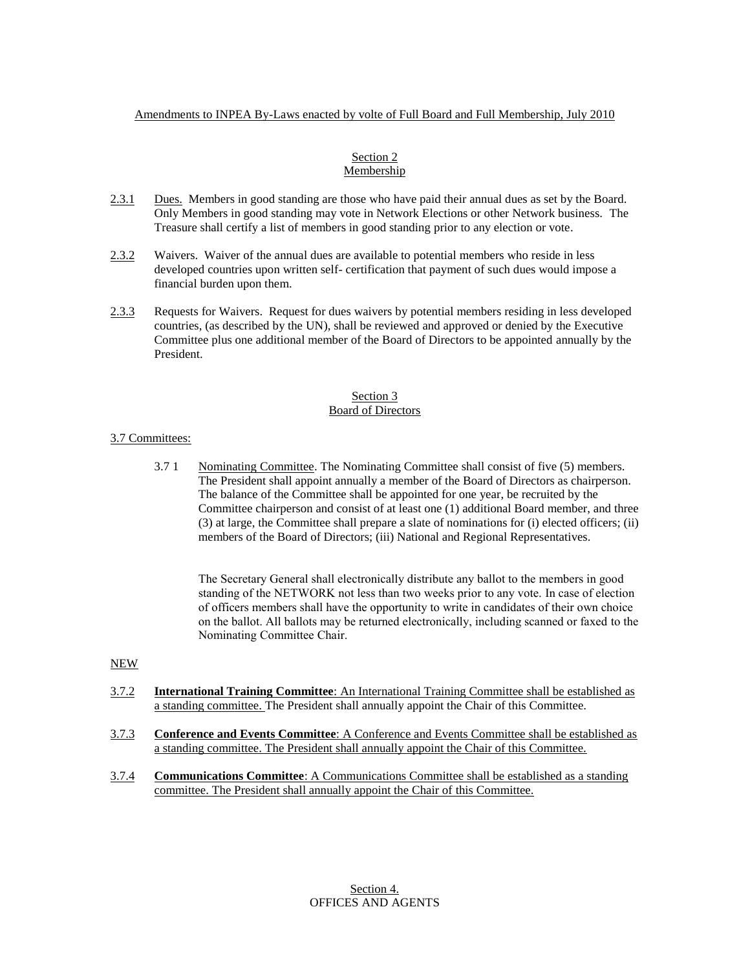# Amendments to INPEA By-Laws enacted by volte of Full Board and Full Membership, July 2010

### Section 2 Membership

- 2.3.1 Dues. Members in good standing are those who have paid their annual dues as set by the Board. Only Members in good standing may vote in Network Elections or other Network business. The Treasure shall certify a list of members in good standing prior to any election or vote.
- 2.3.2 Waivers. Waiver of the annual dues are available to potential members who reside in less developed countries upon written self- certification that payment of such dues would impose a financial burden upon them.
- 2.3.3 Requests for Waivers. Request for dues waivers by potential members residing in less developed countries, (as described by the UN), shall be reviewed and approved or denied by the Executive Committee plus one additional member of the Board of Directors to be appointed annually by the President.

#### Section 3 Board of Directors

# 3.7 Committees:

3.7 1 Nominating Committee. The Nominating Committee shall consist of five (5) members. The President shall appoint annually a member of the Board of Directors as chairperson. The balance of the Committee shall be appointed for one year, be recruited by the Committee chairperson and consist of at least one (1) additional Board member, and three (3) at large, the Committee shall prepare a slate of nominations for (i) elected officers; (ii) members of the Board of Directors; (iii) National and Regional Representatives.

The Secretary General shall electronically distribute any ballot to the members in good standing of the NETWORK not less than two weeks prior to any vote. In case of election of officers members shall have the opportunity to write in candidates of their own choice on the ballot. All ballots may be returned electronically, including scanned or faxed to the Nominating Committee Chair.

### NEW

- 3.7.2 **International Training Committee**: An International Training Committee shall be established as a standing committee. The President shall annually appoint the Chair of this Committee.
- 3.7.3 **Conference and Events Committee**: A Conference and Events Committee shall be established as a standing committee. The President shall annually appoint the Chair of this Committee.
- 3.7.4 **Communications Committee**: A Communications Committee shall be established as a standing committee. The President shall annually appoint the Chair of this Committee.